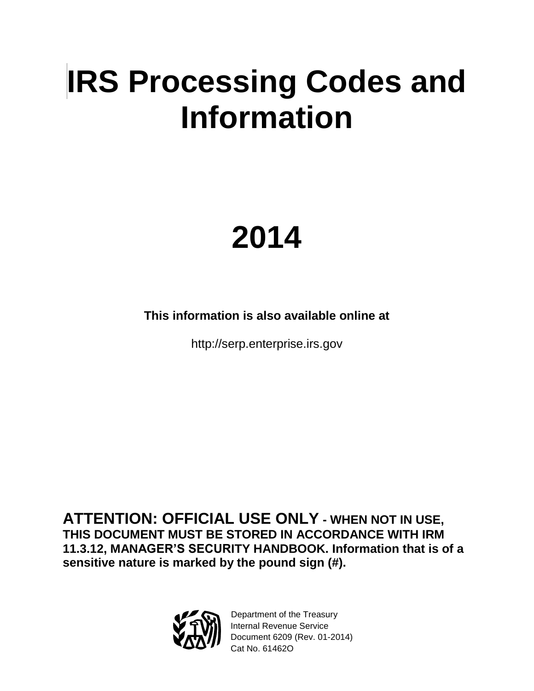# **IRS Processing Codes and Information**

# **2014**

**This information is also available online at** 

http://serp.enterprise.irs.gov

**ATTENTION: OFFICIAL USE ONLY - WHEN NOT IN USE, THIS DOCUMENT MUST BE STORED IN ACCORDANCE WITH IRM 11.3.12, MANAGER'S SECURITY HANDBOOK. Information that is of a sensitive nature is marked by the pound sign (#).**



Department of the Treasury Internal Revenue Service Document 6209 (Rev. 01-2014) Cat No. 61462O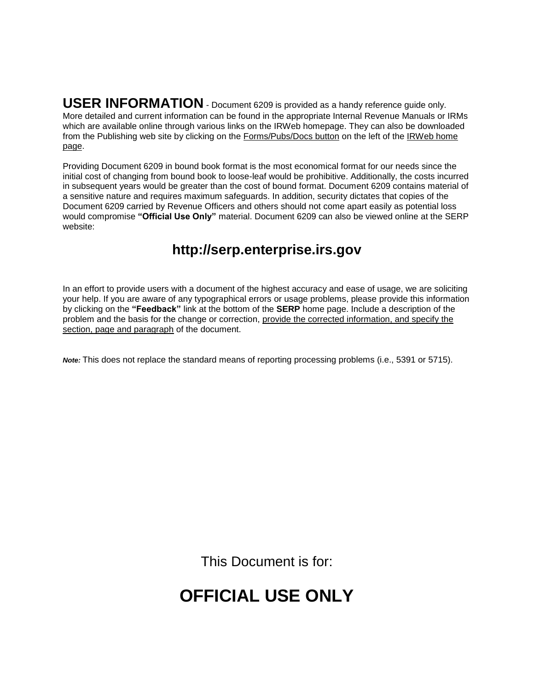**USER INFORMATION** - Document 6209 is provided as a handy reference guide only. More detailed and current information can be found in the appropriate Internal Revenue Manuals or IRMs which are available online through various links on the IRWeb homepage. They can also be downloaded from the Publishing web site by clicking on the Forms/Pubs/Docs button on the left of the IRWeb home page.

Providing Document 6209 in bound book format is the most economical format for our needs since the initial cost of changing from bound book to loose-leaf would be prohibitive. Additionally, the costs incurred in subsequent years would be greater than the cost of bound format. Document 6209 contains material of a sensitive nature and requires maximum safeguards. In addition, security dictates that copies of the Document 6209 carried by Revenue Officers and others should not come apart easily as potential loss would compromise **"Official Use Only"** material. Document 6209 can also be viewed online at the SERP website:

## **http://serp.enterprise.irs.gov**

In an effort to provide users with a document of the highest accuracy and ease of usage, we are soliciting your help. If you are aware of any typographical errors or usage problems, please provide this information by clicking on the **"Feedback"** link at the bottom of the **SERP** home page. Include a description of the problem and the basis for the change or correction, provide the corrected information, and specify the section, page and paragraph of the document.

*Note:* This does not replace the standard means of reporting processing problems (i.e., 5391 or 5715).

This Document is for:

# **OFFICIAL USE ONLY**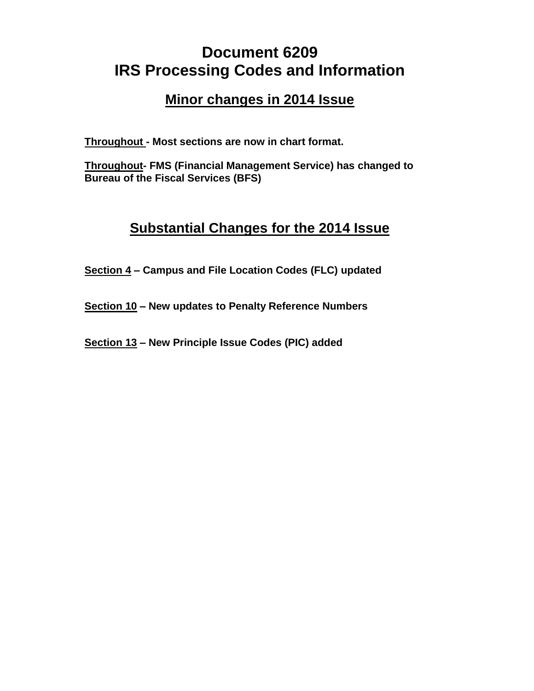# **Document 6209 IRS Processing Codes and Information**

### **Minor changes in 2014 Issue**

**Throughout - Most sections are now in chart format.**

**Throughout- FMS (Financial Management Service) has changed to Bureau of the Fiscal Services (BFS)**

## **Substantial Changes for the 2014 Issue**

**Section 4 – Campus and File Location Codes (FLC) updated**

**Section 10 – New updates to Penalty Reference Numbers**

**Section 13 – New Principle Issue Codes (PIC) added**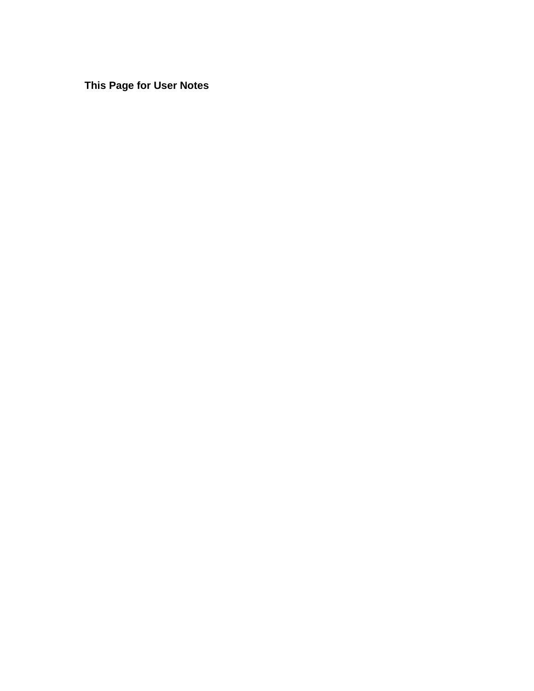**This Page for User Notes**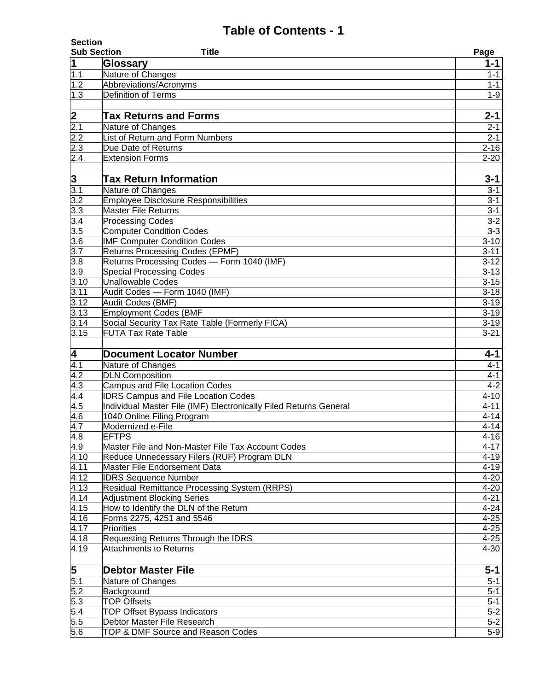| <b>Section</b><br><b>Sub Section</b><br><b>Title</b> |                                                                      |                                 |
|------------------------------------------------------|----------------------------------------------------------------------|---------------------------------|
| $\mathbf 1$                                          | Glossary                                                             | Page<br>$1 - 1$                 |
| 1.1                                                  | Nature of Changes                                                    | $1 - 1$                         |
| 1.2                                                  | Abbreviations/Acronyms                                               | $1 - 1$                         |
| 1.3                                                  | <b>Definition of Terms</b>                                           | $1 - 9$                         |
|                                                      |                                                                      |                                 |
|                                                      | <b>Tax Returns and Forms</b>                                         | $2 - 1$                         |
| $\frac{2}{2.1}$                                      | Nature of Changes                                                    | $2 - 1$                         |
| 2.2                                                  | List of Return and Form Numbers                                      | $2 - 1$                         |
| 2.3                                                  | Due Date of Returns                                                  | $2 - 16$                        |
| 2.4                                                  | <b>Extension Forms</b>                                               | $2 - 20$                        |
|                                                      |                                                                      |                                 |
| 3                                                    | <b>Tax Return Information</b>                                        | $3 - 1$                         |
| $\overline{3.1}$                                     | Nature of Changes                                                    | $3 - 1$                         |
| $\overline{3.2}$                                     | <b>Employee Disclosure Responsibilities</b>                          | $3 - 1$                         |
| 3.3                                                  | <b>Master File Returns</b>                                           | $3 - 1$                         |
| 3.4                                                  | <b>Processing Codes</b>                                              | $3 - 2$                         |
| 3.5                                                  | <b>Computer Condition Codes</b>                                      | $3 - 3$                         |
| 3.6                                                  | <b>IMF Computer Condition Codes</b>                                  | $3 - 10$                        |
| $\overline{3.7}$                                     | <b>Returns Processing Codes (EPMF)</b>                               | $3 - 11$                        |
| 3.8<br>$\overline{3.9}$                              | Returns Processing Codes - Form 1040 (IMF)                           | $\overline{3} - 12$<br>$3 - 13$ |
| 3.10                                                 | <b>Special Processing Codes</b><br><b>Unallowable Codes</b>          | $3 - 15$                        |
| 3.11                                                 | Audit Codes - Form 1040 (IMF)                                        | $3 - 18$                        |
| 3.12                                                 | Audit Codes (BMF)                                                    | $3 - 19$                        |
| 3.13                                                 | <b>Employment Codes (BMF</b>                                         | $3 - 19$                        |
| 3.14                                                 | Social Security Tax Rate Table (Formerly FICA)                       | $3 - 19$                        |
| 3.15                                                 | <b>FUTA Tax Rate Table</b>                                           | $3 - 21$                        |
|                                                      |                                                                      |                                 |
| 4                                                    | <b>Document Locator Number</b>                                       |                                 |
|                                                      |                                                                      | 4-1                             |
| 4.1                                                  | Nature of Changes                                                    | $4 - 1$                         |
| 4.2                                                  | <b>DLN Composition</b>                                               | $4 - 1$                         |
| 4.3                                                  | <b>Campus and File Location Codes</b>                                | $4-2$                           |
| 4.4                                                  | <b>IDRS Campus and File Location Codes</b>                           | $4 - 10$                        |
| 4.5                                                  | Individual Master File (IMF) Electronically Filed Returns General    | $4 - 11$                        |
| 4.6                                                  | 1040 Online Filing Program                                           | $4 - 14$                        |
| 4.7                                                  | Modernized e-File                                                    | $4 - 14$                        |
| 4.8                                                  | <b>EFTPS</b>                                                         | $4 - 16$                        |
| 4.9                                                  | Master File and Non-Master File Tax Account Codes                    | $4 - 17$                        |
| 4.10                                                 | Reduce Unnecessary Filers (RUF) Program DLN                          | $4 - 19$                        |
| 4.11                                                 | Master File Endorsement Data                                         | $4 - 19$                        |
| 4.12                                                 | <b>IDRS Sequence Number</b>                                          | $4 - 20$                        |
| 4.13                                                 | Residual Remittance Processing System (RRPS)                         | $4 - 20$                        |
| 4.14                                                 | <b>Adjustment Blocking Series</b>                                    | $4 - 21$                        |
| 4.15                                                 | How to Identify the DLN of the Return                                | $4 - 24$                        |
| 4.16                                                 | Forms 2275, 4251 and 5546<br>Priorities                              | $4 - 25$                        |
| 4.17<br>4.18                                         |                                                                      | $4 - 25$<br>$4 - 25$            |
| 4.19                                                 | Requesting Returns Through the IDRS<br><b>Attachments to Returns</b> | $4 - 30$                        |
|                                                      |                                                                      |                                 |
|                                                      | <b>Debtor Master File</b>                                            | $5 - 1$                         |
|                                                      | Nature of Changes                                                    | $5 - 1$                         |
| $\frac{5}{5.1}$<br>5.2                               | Background                                                           | $5 - 1$                         |
| 5.3                                                  | <b>TOP Offsets</b>                                                   | $5 - 1$                         |
| 5.4                                                  | <b>TOP Offset Bypass Indicators</b>                                  | $5 - 2$                         |
| 5.5<br>5.6                                           | Debtor Master File Research<br>TOP & DMF Source and Reason Codes     | $5 - 2$<br>$5-9$                |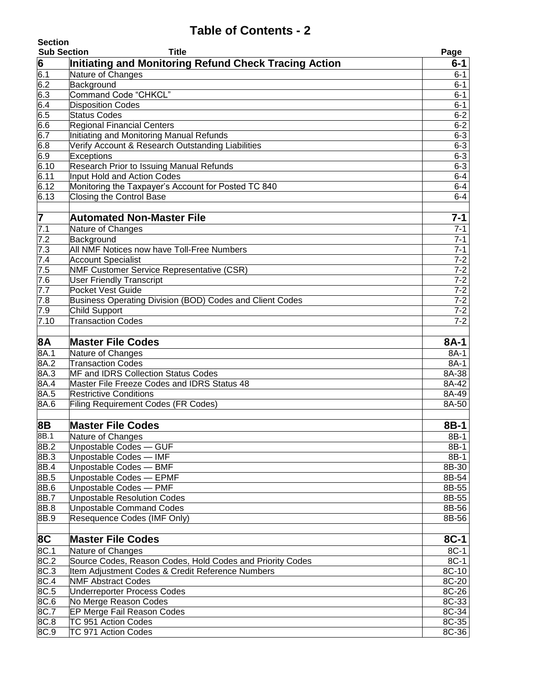| <b>Section</b>     |                                                                               |                    |
|--------------------|-------------------------------------------------------------------------------|--------------------|
| <b>Sub Section</b> | <b>Title</b>                                                                  | Page               |
| 6                  | Initiating and Monitoring Refund Check Tracing Action                         | 6-1                |
| $\overline{6.1}$   | Nature of Changes                                                             | $6 - 1$            |
| 6.2                | Background                                                                    | $6 - 1$            |
| 6.3                | Command Code "CHKCL"                                                          | $6 - 1$            |
| 6.4                | <b>Disposition Codes</b>                                                      | $6 - 1$            |
| 6.5                | <b>Status Codes</b>                                                           | $6 - 2$            |
| 6.6<br>6.7         | <b>Regional Financial Centers</b><br>Initiating and Monitoring Manual Refunds | $6 - 2$<br>$6 - 3$ |
| 6.8                | Verify Account & Research Outstanding Liabilities                             | $6 - 3$            |
| 6.9                | Exceptions                                                                    | $6 - 3$            |
| 6.10               | Research Prior to Issuing Manual Refunds                                      | $6 - 3$            |
| 6.11               | Input Hold and Action Codes                                                   | $6 - 4$            |
| 6.12               | Monitoring the Taxpayer's Account for Posted TC 840                           | $6-4$              |
| 6.13               | Closing the Control Base                                                      | $6 - 4$            |
|                    |                                                                               |                    |
| 7                  | <b>Automated Non-Master File</b>                                              | $7 - 1$            |
| $\overline{7.1}$   | Nature of Changes                                                             | $7 - 1$            |
| 7.2                | Background                                                                    | $7 - 1$            |
| 7.3                | All NMF Notices now have Toll-Free Numbers                                    | $7 - 1$            |
| 7.4                | <b>Account Specialist</b>                                                     | $7 - 2$            |
| 7.5                | <b>NMF Customer Service Representative (CSR)</b>                              | $7 - 2$            |
| 7.6                | <b>User Friendly Transcript</b>                                               | $7 - 2$            |
| 7.7                | <b>Pocket Vest Guide</b>                                                      | $7 - 2$            |
| 7.8                | Business Operating Division (BOD) Codes and Client Codes                      | $7 - 2$            |
| 7.9                | <b>Child Support</b>                                                          | $7 - 2$            |
| 7.10               | <b>Transaction Codes</b>                                                      | $7 - 2$            |
| <b>8A</b>          | <b>Master File Codes</b>                                                      | 8A-1               |
| 8A.1               | Nature of Changes                                                             | 8A-1               |
| 8A.2               | <b>Transaction Codes</b>                                                      | 8A-1               |
| 8A.3               | <b>MF and IDRS Collection Status Codes</b>                                    | 8A-38              |
| 8A.4               | Master File Freeze Codes and IDRS Status 48                                   | 8A-42              |
| 8A.5               | <b>Restrictive Conditions</b>                                                 | 8A-49              |
| 8A.6               | <b>Filing Requirement Codes (FR Codes)</b>                                    | 8A-50              |
| 8B                 | <b>Master File Codes</b>                                                      | 8B-1               |
| 8B.1               | Nature of Changes                                                             | 8B-1               |
| 8B.2               | Unpostable Codes - GUF                                                        | $8B-1$             |
| 8B.3               | Unpostable Codes - IMF                                                        | $8B-1$             |
| 8B.4               | Unpostable Codes - BMF                                                        | 8B-30              |
| 8B.5               | Unpostable Codes - EPMF                                                       | 8B-54              |
| 8B.6               | Unpostable Codes - PMF                                                        | 8B-55              |
| 8B.7               | Unpostable Resolution Codes                                                   | 8B-55              |
| 8B.8               | <b>Unpostable Command Codes</b>                                               | 8B-56              |
| 8B.9               | Resequence Codes (IMF Only)                                                   | 8B-56              |
|                    |                                                                               |                    |
| 8C                 | <b>Master File Codes</b>                                                      | $8C-1$             |
| 8C.1               | Nature of Changes                                                             | $8C-1$             |
| 8C.2               | Source Codes, Reason Codes, Hold Codes and Priority Codes                     | $8C-1$             |
| 8C.3               | Item Adjustment Codes & Credit Reference Numbers                              | 8C-10              |
| 8C.4               | <b>NMF Abstract Codes</b>                                                     | 8C-20              |
| 8C.5               | <b>Underreporter Process Codes</b>                                            | 8C-26              |
| 8C.6<br>8C.7       | No Merge Reason Codes                                                         | 8C-33              |
| 8C.8               | EP Merge Fail Reason Codes<br>TC 951 Action Codes                             | 8C-34<br>8C-35     |
| 8C.9               | TC 971 Action Codes                                                           | 8C-36              |
|                    |                                                                               |                    |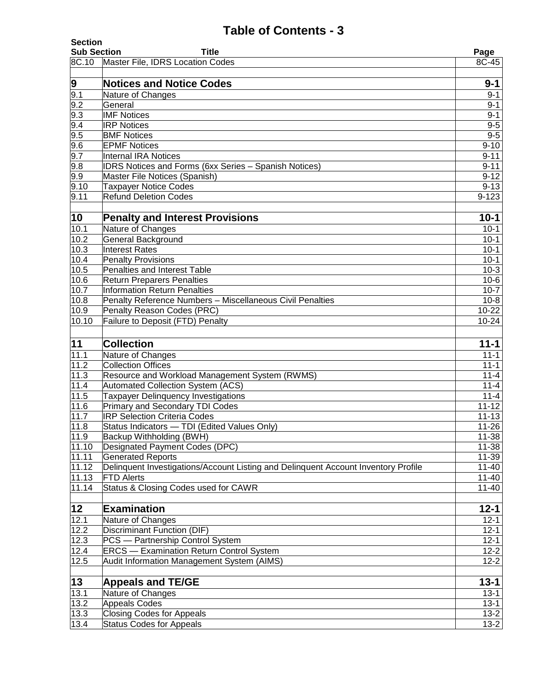| <b>Section</b><br><b>Sub Section</b> | <b>Title</b>                                                                       | Page                 |
|--------------------------------------|------------------------------------------------------------------------------------|----------------------|
| 8C.10                                | Master File, IDRS Location Codes                                                   | 8C-45                |
|                                      |                                                                                    |                      |
| 9                                    | <b>Notices and Notice Codes</b>                                                    | $9 - 1$              |
|                                      | Nature of Changes                                                                  | $9 - 1$              |
| $\frac{5}{9.1}$<br>9.2               | General                                                                            | $9 - 1$              |
| 9.3                                  | <b>IMF Notices</b>                                                                 | $9 - 1$              |
| 9.4                                  | <b>IRP Notices</b>                                                                 | $9-5$                |
| 9.5                                  | <b>BMF Notices</b>                                                                 | $9 - 5$              |
| 9.6                                  | <b>EPMF Notices</b>                                                                | $9 - 10$             |
| 9.7                                  | <b>Internal IRA Notices</b>                                                        | $9 - 11$             |
| 9.8                                  | <b>IDRS Notices and Forms (6xx Series - Spanish Notices)</b>                       | $9 - 11$             |
| 9.9                                  | Master File Notices (Spanish)                                                      | $9 - 12$             |
| 9.10                                 | <b>Taxpayer Notice Codes</b>                                                       | $9 - 13$             |
| 9.11                                 | <b>Refund Deletion Codes</b>                                                       | $9 - 123$            |
| 10                                   | <b>Penalty and Interest Provisions</b>                                             | $10 - 1$             |
| 10.1                                 | Nature of Changes                                                                  | $10 - 1$             |
| 10.2                                 | <b>General Background</b>                                                          | $10 - 1$             |
| 10.3                                 | <b>Interest Rates</b>                                                              | $10 - 1$             |
| 10.4                                 | <b>Penalty Provisions</b>                                                          | $10 - 1$             |
| 10.5                                 | Penalties and Interest Table                                                       | $10-3$               |
| 10.6                                 | <b>Return Preparers Penalties</b>                                                  | $10-6$               |
| 10.7                                 | <b>Information Return Penalties</b>                                                | $10-7$               |
| 10.8                                 | Penalty Reference Numbers - Miscellaneous Civil Penalties                          | $10-8$               |
| 10.9                                 | Penalty Reason Codes (PRC)                                                         | $10 - 22$            |
| 10.10                                | Failure to Deposit (FTD) Penalty                                                   | $10 - 24$            |
|                                      |                                                                                    |                      |
| 11                                   | <b>Collection</b>                                                                  | $11 - 1$             |
| 11.1                                 | Nature of Changes                                                                  | $11 - 1$             |
| 11.2                                 | <b>Collection Offices</b>                                                          | $11 - 1$             |
| 11.3                                 | Resource and Workload Management System (RWMS)                                     | $11 - 4$             |
| 11.4                                 | <b>Automated Collection System (ACS)</b>                                           | $11 - 4$             |
| 11.5                                 | <b>Taxpayer Delinguency Investigations</b>                                         | $11 - 4$             |
| 11.6                                 | Primary and Secondary TDI Codes                                                    | $\overline{11} - 12$ |
| 11.7                                 | <b>IRP Selection Criteria Codes</b>                                                | $11 - 13$            |
| 11.8                                 | Status Indicators - TDI (Edited Values Only)                                       | $11 - 26$            |
| 11.9                                 | Backup Withholding (BWH)                                                           | $11 - 38$            |
| 11.10                                | <b>Designated Payment Codes (DPC)</b>                                              | $11 - 38$            |
| 11.11                                | <b>Generated Reports</b>                                                           | 11-39                |
| 11.12                                | Delinguent Investigations/Account Listing and Delinguent Account Inventory Profile | $11 - 40$            |
| 11.13                                | <b>FTD Alerts</b>                                                                  | $11 - 40$            |
| 11.14                                | Status & Closing Codes used for CAWR                                               | $11 - 40$            |
| $\overline{12}$                      |                                                                                    |                      |
|                                      |                                                                                    |                      |
|                                      | <b>Examination</b>                                                                 | $12 - 1$             |
| 12.1                                 | Nature of Changes                                                                  | $12 - 1$             |
| 12.2                                 | <b>Discriminant Function (DIF)</b>                                                 | $12 - 1$             |
| 12.3                                 | PCS - Partnership Control System                                                   | $12 - 1$             |
| 12.4                                 | <b>ERCS</b> - Examination Return Control System                                    | $12 - 2$             |
| 12.5                                 | Audit Information Management System (AIMS)                                         | $12 - 2$             |
| 13                                   | <b>Appeals and TE/GE</b>                                                           | $13 - 1$             |
| 13.1                                 | Nature of Changes                                                                  | $13 - 1$             |
| 13.2                                 | <b>Appeals Codes</b>                                                               | $13 - 1$             |
| 13.3<br>13.4                         | <b>Closing Codes for Appeals</b><br><b>Status Codes for Appeals</b>                | $13 - 2$<br>$13-2$   |